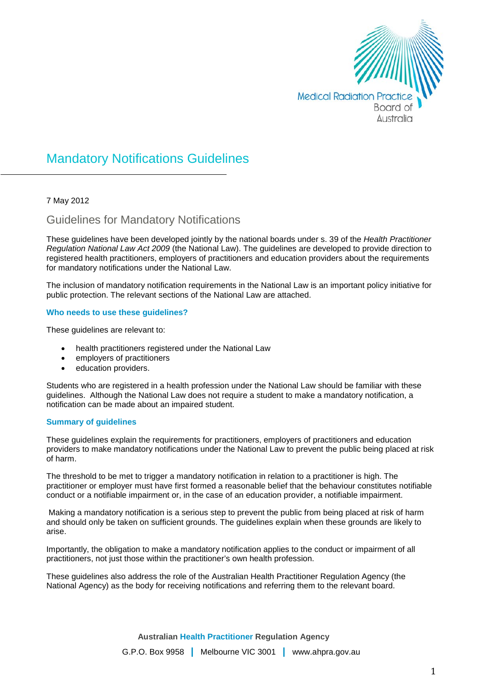

# Mandatory Notifications Guidelines

## 7 May 2012

## Guidelines for Mandatory Notifications

These guidelines have been developed jointly by the national boards under s. 39 of the *Health Practitioner Regulation National Law Act 2009* (the National Law). The guidelines are developed to provide direction to registered health practitioners, employers of practitioners and education providers about the requirements for mandatory notifications under the National Law.

The inclusion of mandatory notification requirements in the National Law is an important policy initiative for public protection. The relevant sections of the National Law are attached.

#### **Who needs to use these guidelines?**

These guidelines are relevant to:

- health practitioners registered under the National Law
- employers of practitioners
- education providers.

Students who are registered in a health profession under the National Law should be familiar with these guidelines. Although the National Law does not require a student to make a mandatory notification, a notification can be made about an impaired student.

#### **Summary of guidelines**

These guidelines explain the requirements for practitioners, employers of practitioners and education providers to make mandatory notifications under the National Law to prevent the public being placed at risk of harm.

The threshold to be met to trigger a mandatory notification in relation to a practitioner is high. The practitioner or employer must have first formed a reasonable belief that the behaviour constitutes notifiable conduct or a notifiable impairment or, in the case of an education provider, a notifiable impairment.

Making a mandatory notification is a serious step to prevent the public from being placed at risk of harm and should only be taken on sufficient grounds. The guidelines explain when these grounds are likely to arise.

Importantly, the obligation to make a mandatory notification applies to the conduct or impairment of all practitioners, not just those within the practitioner's own health profession.

These guidelines also address the role of the Australian Health Practitioner Regulation Agency (the National Agency) as the body for receiving notifications and referring them to the relevant board.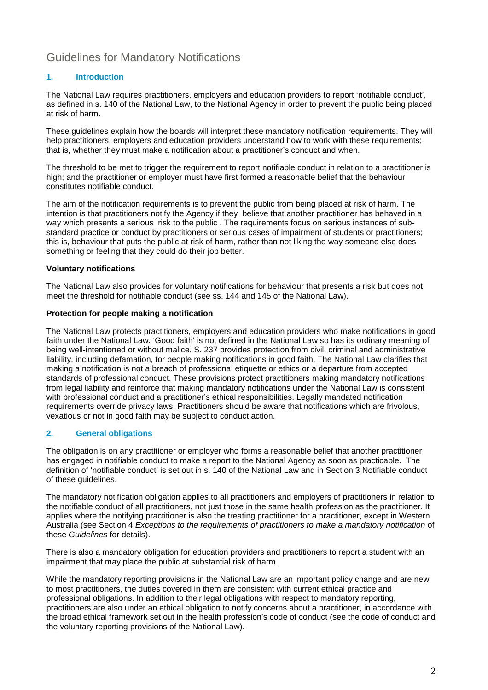## Guidelines for Mandatory Notifications

## **1. Introduction**

The National Law requires practitioners, employers and education providers to report 'notifiable conduct', as defined in s. 140 of the National Law, to the National Agency in order to prevent the public being placed at risk of harm.

These guidelines explain how the boards will interpret these mandatory notification requirements. They will help practitioners, employers and education providers understand how to work with these requirements; that is, whether they must make a notification about a practitioner's conduct and when.

The threshold to be met to trigger the requirement to report notifiable conduct in relation to a practitioner is high; and the practitioner or employer must have first formed a reasonable belief that the behaviour constitutes notifiable conduct.

The aim of the notification requirements is to prevent the public from being placed at risk of harm. The intention is that practitioners notify the Agency if they believe that another practitioner has behaved in a way which presents a serious risk to the public . The requirements focus on serious instances of substandard practice or conduct by practitioners or serious cases of impairment of students or practitioners; this is, behaviour that puts the public at risk of harm, rather than not liking the way someone else does something or feeling that they could do their job better.

## **Voluntary notifications**

The National Law also provides for voluntary notifications for behaviour that presents a risk but does not meet the threshold for notifiable conduct (see ss. 144 and 145 of the National Law).

#### **Protection for people making a notification**

The National Law protects practitioners, employers and education providers who make notifications in good faith under the National Law. 'Good faith' is not defined in the National Law so has its ordinary meaning of being well-intentioned or without malice. S. 237 provides protection from civil, criminal and administrative liability, including defamation, for people making notifications in good faith. The National Law clarifies that making a notification is not a breach of professional etiquette or ethics or a departure from accepted standards of professional conduct. These provisions protect practitioners making mandatory notifications from legal liability and reinforce that making mandatory notifications under the National Law is consistent with professional conduct and a practitioner's ethical responsibilities. Legally mandated notification requirements override privacy laws. Practitioners should be aware that notifications which are frivolous, vexatious or not in good faith may be subject to conduct action.

## **2. General obligations**

The obligation is on any practitioner or employer who forms a reasonable belief that another practitioner has engaged in notifiable conduct to make a report to the National Agency as soon as practicable. The definition of 'notifiable conduct' is set out in s. 140 of the National Law and in Section 3 Notifiable conduct of these guidelines.

The mandatory notification obligation applies to all practitioners and employers of practitioners in relation to the notifiable conduct of all practitioners, not just those in the same health profession as the practitioner. It applies where the notifying practitioner is also the treating practitioner for a practitioner, except in Western Australia (see Section 4 *Exceptions to the requirements of practitioners to make a mandatory notification* of these *Guidelines* for details).

There is also a mandatory obligation for education providers and practitioners to report a student with an impairment that may place the public at substantial risk of harm.

While the mandatory reporting provisions in the National Law are an important policy change and are new to most practitioners, the duties covered in them are consistent with current ethical practice and professional obligations. In addition to their legal obligations with respect to mandatory reporting, practitioners are also under an ethical obligation to notify concerns about a practitioner, in accordance with the broad ethical framework set out in the health profession's code of conduct (see the code of conduct and the voluntary reporting provisions of the National Law).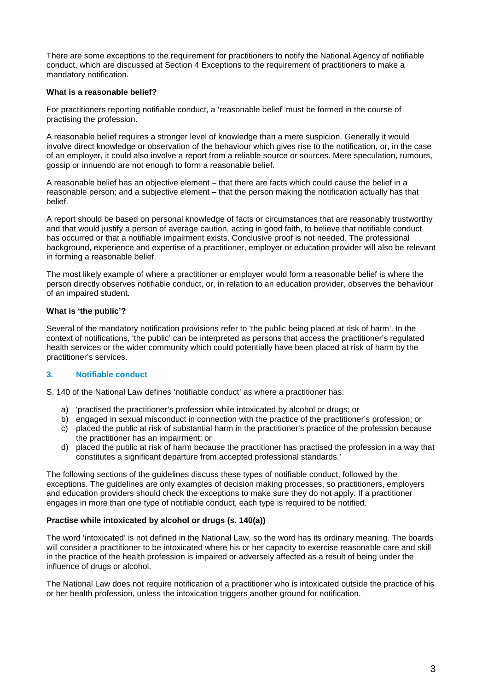There are some exceptions to the requirement for practitioners to notify the National Agency of notifiable conduct, which are discussed at Section 4 Exceptions to the requirement of practitioners to make a mandatory notification.

### **What is a reasonable belief?**

For practitioners reporting notifiable conduct, a 'reasonable belief' must be formed in the course of practising the profession.

A reasonable belief requires a stronger level of knowledge than a mere suspicion. Generally it would involve direct knowledge or observation of the behaviour which gives rise to the notification, or, in the case of an employer, it could also involve a report from a reliable source or sources. Mere speculation, rumours, gossip or innuendo are not enough to form a reasonable belief.

A reasonable belief has an objective element – that there are facts which could cause the belief in a reasonable person; and a subjective element – that the person making the notification actually has that belief.

A report should be based on personal knowledge of facts or circumstances that are reasonably trustworthy and that would justify a person of average caution, acting in good faith, to believe that notifiable conduct has occurred or that a notifiable impairment exists. Conclusive proof is not needed. The professional background, experience and expertise of a practitioner, employer or education provider will also be relevant in forming a reasonable belief.

The most likely example of where a practitioner or employer would form a reasonable belief is where the person directly observes notifiable conduct, or, in relation to an education provider, observes the behaviour of an impaired student.

## **What is 'the public'?**

Several of the mandatory notification provisions refer to 'the public being placed at risk of harm'. In the context of notifications, 'the public' can be interpreted as persons that access the practitioner's regulated health services or the wider community which could potentially have been placed at risk of harm by the practitioner's services.

#### **3. Notifiable conduct**

S. 140 of the National Law defines 'notifiable conduct' as where a practitioner has:

- a) 'practised the practitioner's profession while intoxicated by alcohol or drugs; or
- b) engaged in sexual misconduct in connection with the practice of the practitioner's profession; or
- c) placed the public at risk of substantial harm in the practitioner's practice of the profession because the practitioner has an impairment; or
- d) placed the public at risk of harm because the practitioner has practised the profession in a way that constitutes a significant departure from accepted professional standards.'

The following sections of the guidelines discuss these types of notifiable conduct, followed by the exceptions. The guidelines are only examples of decision making processes, so practitioners, employers and education providers should check the exceptions to make sure they do not apply. If a practitioner engages in more than one type of notifiable conduct, each type is required to be notified.

#### **Practise while intoxicated by alcohol or drugs (s. 140(a))**

The word 'intoxicated' is not defined in the National Law, so the word has its ordinary meaning. The boards will consider a practitioner to be intoxicated where his or her capacity to exercise reasonable care and skill in the practice of the health profession is impaired or adversely affected as a result of being under the influence of drugs or alcohol.

The National Law does not require notification of a practitioner who is intoxicated outside the practice of his or her health profession, unless the intoxication triggers another ground for notification.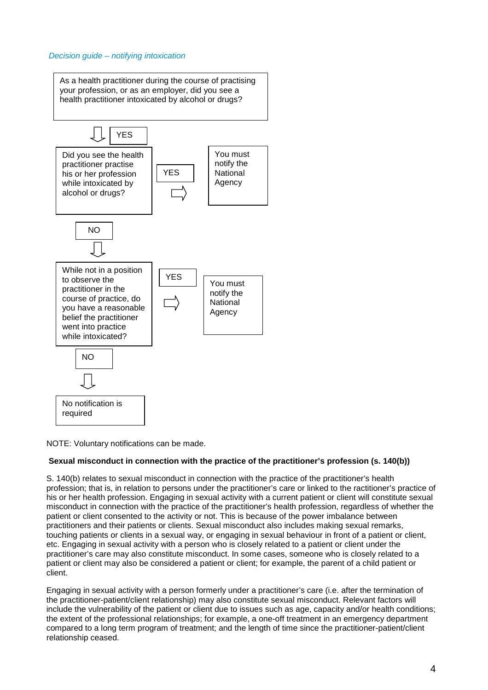#### *Decision guide – notifying intoxication*



NOTE: Voluntary notifications can be made.

#### **Sexual misconduct in connection with the practice of the practitioner's profession (s. 140(b))**

S. 140(b) relates to sexual misconduct in connection with the practice of the practitioner's health profession; that is, in relation to persons under the practitioner's care or linked to the ractitioner's practice of his or her health profession. Engaging in sexual activity with a current patient or client will constitute sexual misconduct in connection with the practice of the practitioner's health profession, regardless of whether the patient or client consented to the activity or not. This is because of the power imbalance between practitioners and their patients or clients. Sexual misconduct also includes making sexual remarks, touching patients or clients in a sexual way, or engaging in sexual behaviour in front of a patient or client, etc. Engaging in sexual activity with a person who is closely related to a patient or client under the practitioner's care may also constitute misconduct. In some cases, someone who is closely related to a patient or client may also be considered a patient or client; for example, the parent of a child patient or client.

Engaging in sexual activity with a person formerly under a practitioner's care (i.e. after the termination of the practitioner-patient/client relationship) may also constitute sexual misconduct. Relevant factors will include the vulnerability of the patient or client due to issues such as age, capacity and/or health conditions; the extent of the professional relationships; for example, a one-off treatment in an emergency department compared to a long term program of treatment; and the length of time since the practitioner-patient/client relationship ceased.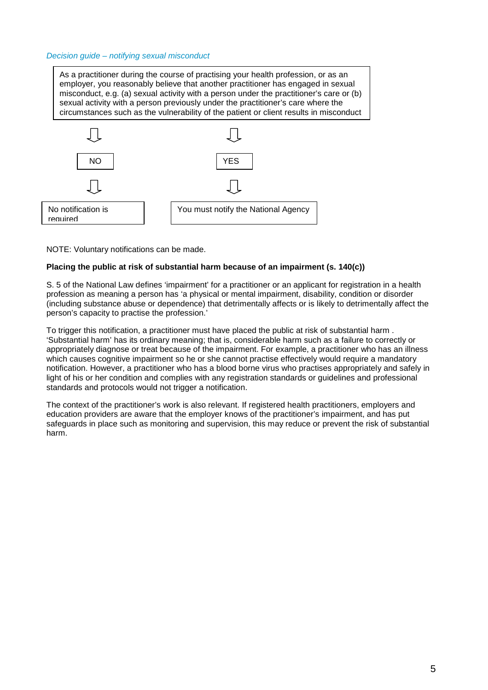#### *Decision guide – notifying sexual misconduct*

As a practitioner during the course of practising your health profession, or as an employer, you reasonably believe that another practitioner has engaged in sexual misconduct, e.g. (a) sexual activity with a person under the practitioner's care or (b) sexual activity with a person previously under the practitioner's care where the circumstances such as the vulnerability of the patient or client results in misconduct



NOTE: Voluntary notifications can be made.

#### **Placing the public at risk of substantial harm because of an impairment (s. 140(c))**

S. 5 of the National Law defines 'impairment' for a practitioner or an applicant for registration in a health profession as meaning a person has 'a physical or mental impairment, disability, condition or disorder (including substance abuse or dependence) that detrimentally affects or is likely to detrimentally affect the person's capacity to practise the profession.'

To trigger this notification, a practitioner must have placed the public at risk of substantial harm . 'Substantial harm' has its ordinary meaning; that is, considerable harm such as a failure to correctly or appropriately diagnose or treat because of the impairment. For example, a practitioner who has an illness which causes cognitive impairment so he or she cannot practise effectively would require a mandatory notification. However, a practitioner who has a blood borne virus who practises appropriately and safely in light of his or her condition and complies with any registration standards or guidelines and professional standards and protocols would not trigger a notification.

The context of the practitioner's work is also relevant. If registered health practitioners, employers and education providers are aware that the employer knows of the practitioner's impairment, and has put safeguards in place such as monitoring and supervision, this may reduce or prevent the risk of substantial harm.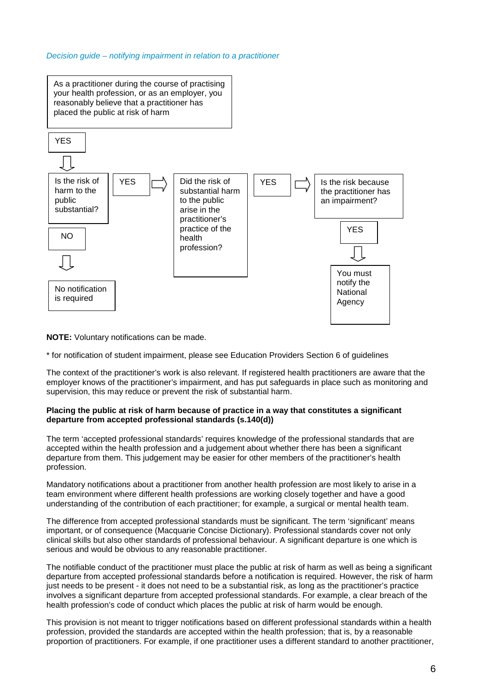#### *Decision guide – notifying impairment in relation to a practitioner*



**NOTE:** Voluntary notifications can be made.

\* for notification of student impairment, please see Education Providers Section 6 of guidelines

The context of the practitioner's work is also relevant. If registered health practitioners are aware that the employer knows of the practitioner's impairment, and has put safeguards in place such as monitoring and supervision, this may reduce or prevent the risk of substantial harm.

#### **Placing the public at risk of harm because of practice in a way that constitutes a significant departure from accepted professional standards (s.140(d))**

The term 'accepted professional standards' requires knowledge of the professional standards that are accepted within the health profession and a judgement about whether there has been a significant departure from them. This judgement may be easier for other members of the practitioner's health profession.

Mandatory notifications about a practitioner from another health profession are most likely to arise in a team environment where different health professions are working closely together and have a good understanding of the contribution of each practitioner; for example, a surgical or mental health team.

The difference from accepted professional standards must be significant. The term 'significant' means important, or of consequence (Macquarie Concise Dictionary). Professional standards cover not only clinical skills but also other standards of professional behaviour. A significant departure is one which is serious and would be obvious to any reasonable practitioner.

The notifiable conduct of the practitioner must place the public at risk of harm as well as being a significant departure from accepted professional standards before a notification is required. However, the risk of harm just needs to be present - it does not need to be a substantial risk, as long as the practitioner's practice involves a significant departure from accepted professional standards. For example, a clear breach of the health profession's code of conduct which places the public at risk of harm would be enough.

This provision is not meant to trigger notifications based on different professional standards within a health profession, provided the standards are accepted within the health profession; that is, by a reasonable proportion of practitioners. For example, if one practitioner uses a different standard to another practitioner,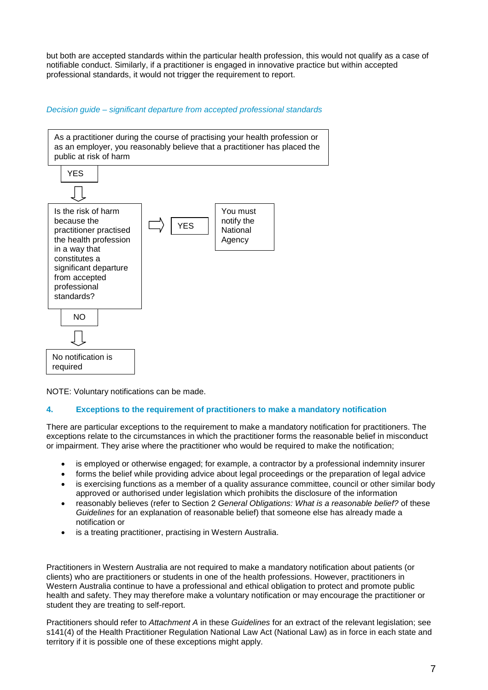but both are accepted standards within the particular health profession, this would not qualify as a case of notifiable conduct. Similarly, if a practitioner is engaged in innovative practice but within accepted professional standards, it would not trigger the requirement to report.

*Decision guide – significant departure from accepted professional standards*



NOTE: Voluntary notifications can be made.

## **4. Exceptions to the requirement of practitioners to make a mandatory notification**

There are particular exceptions to the requirement to make a mandatory notification for practitioners. The exceptions relate to the circumstances in which the practitioner forms the reasonable belief in misconduct or impairment. They arise where the practitioner who would be required to make the notification;

- is employed or otherwise engaged; for example, a contractor by a professional indemnity insurer
- forms the belief while providing advice about legal proceedings or the preparation of legal advice
- is exercising functions as a member of a quality assurance committee, council or other similar body approved or authorised under legislation which prohibits the disclosure of the information
- reasonably believes (refer to Section 2 *General Obligations: What is a reasonable belief?* of these *Guidelines* for an explanation of reasonable belief) that someone else has already made a notification or
- is a treating practitioner, practising in Western Australia.

Practitioners in Western Australia are not required to make a mandatory notification about patients (or clients) who are practitioners or students in one of the health professions. However, practitioners in Western Australia continue to have a professional and ethical obligation to protect and promote public health and safety. They may therefore make a voluntary notification or may encourage the practitioner or student they are treating to self-report.

Practitioners should refer to *Attachment A* in these *Guidelines* for an extract of the relevant legislation; see s141(4) of the Health Practitioner Regulation National Law Act (National Law) as in force in each state and territory if it is possible one of these exceptions might apply.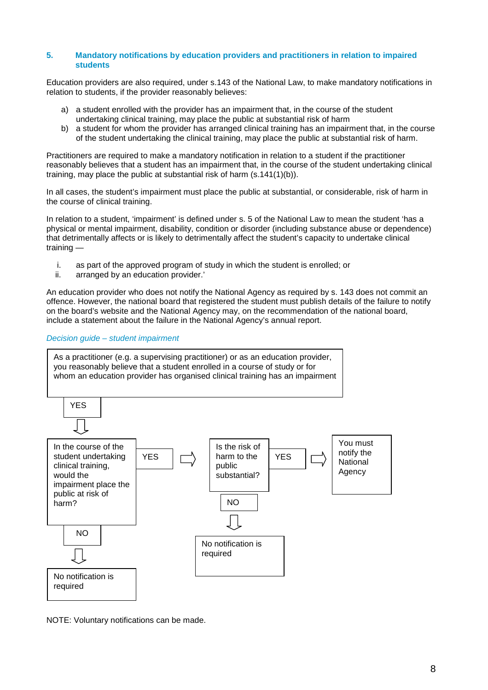#### **5. Mandatory notifications by education providers and practitioners in relation to impaired students**

Education providers are also required, under s.143 of the National Law, to make mandatory notifications in relation to students, if the provider reasonably believes:

- a) a student enrolled with the provider has an impairment that, in the course of the student undertaking clinical training, may place the public at substantial risk of harm
- b) a student for whom the provider has arranged clinical training has an impairment that, in the course of the student undertaking the clinical training, may place the public at substantial risk of harm.

Practitioners are required to make a mandatory notification in relation to a student if the practitioner reasonably believes that a student has an impairment that, in the course of the student undertaking clinical training, may place the public at substantial risk of harm (s.141(1)(b)).

In all cases, the student's impairment must place the public at substantial, or considerable, risk of harm in the course of clinical training.

In relation to a student, 'impairment' is defined under s. 5 of the National Law to mean the student 'has a physical or mental impairment, disability, condition or disorder (including substance abuse or dependence) that detrimentally affects or is likely to detrimentally affect the student's capacity to undertake clinical training —

- i. as part of the approved program of study in which the student is enrolled; or ii. arranged by an education provider.'
- arranged by an education provider.'

An education provider who does not notify the National Agency as required by s. 143 does not commit an offence. However, the national board that registered the student must publish details of the failure to notify on the board's website and the National Agency may, on the recommendation of the national board, include a statement about the failure in the National Agency's annual report.

#### *Decision guide – student impairment*



NOTE: Voluntary notifications can be made.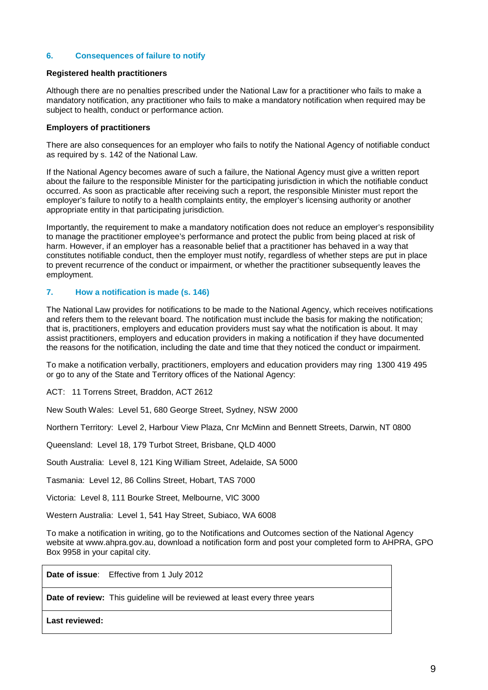#### **6. Consequences of failure to notify**

#### **Registered health practitioners**

Although there are no penalties prescribed under the National Law for a practitioner who fails to make a mandatory notification, any practitioner who fails to make a mandatory notification when required may be subject to health, conduct or performance action.

#### **Employers of practitioners**

There are also consequences for an employer who fails to notify the National Agency of notifiable conduct as required by s. 142 of the National Law.

If the National Agency becomes aware of such a failure, the National Agency must give a written report about the failure to the responsible Minister for the participating jurisdiction in which the notifiable conduct occurred. As soon as practicable after receiving such a report, the responsible Minister must report the employer's failure to notify to a health complaints entity, the employer's licensing authority or another appropriate entity in that participating jurisdiction.

Importantly, the requirement to make a mandatory notification does not reduce an employer's responsibility to manage the practitioner employee's performance and protect the public from being placed at risk of harm. However, if an employer has a reasonable belief that a practitioner has behaved in a way that constitutes notifiable conduct, then the employer must notify, regardless of whether steps are put in place to prevent recurrence of the conduct or impairment, or whether the practitioner subsequently leaves the employment.

#### **7. How a notification is made (s. 146)**

The National Law provides for notifications to be made to the National Agency, which receives notifications and refers them to the relevant board. The notification must include the basis for making the notification; that is, practitioners, employers and education providers must say what the notification is about. It may assist practitioners, employers and education providers in making a notification if they have documented the reasons for the notification, including the date and time that they noticed the conduct or impairment.

To make a notification verbally, practitioners, employers and education providers may ring 1300 419 495 or go to any of the State and Territory offices of the National Agency:

ACT: 11 Torrens Street, Braddon, ACT 2612

New South Wales: Level 51, 680 George Street, Sydney, NSW 2000

Northern Territory: Level 2, Harbour View Plaza, Cnr McMinn and Bennett Streets, Darwin, NT 0800

Queensland: Level 18, 179 Turbot Street, Brisbane, QLD 4000

South Australia: Level 8, 121 King William Street, Adelaide, SA 5000

Tasmania: Level 12, 86 Collins Street, Hobart, TAS 7000

Victoria: Level 8, 111 Bourke Street, Melbourne, VIC 3000

Western Australia: Level 1, 541 Hay Street, Subiaco, WA 6008

To make a notification in writing, go to the Notifications and Outcomes section of the National Agency website at www.ahpra.gov.au, download a notification form and post your completed form to AHPRA, GPO Box 9958 in your capital city.

**Date of issue**: Effective from 1 July 2012

**Date of review:** This guideline will be reviewed at least every three years

**Last reviewed:**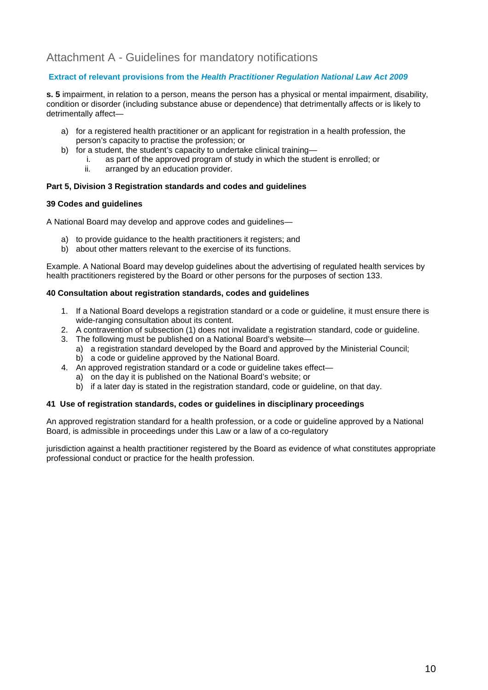## Attachment A - Guidelines for mandatory notifications

## **Extract of relevant provisions from the** *Health Practitioner Regulation National Law Act 2009*

**s. 5** impairment, in relation to a person, means the person has a physical or mental impairment, disability, condition or disorder (including substance abuse or dependence) that detrimentally affects or is likely to detrimentally affect—

- a) for a registered health practitioner or an applicant for registration in a health profession, the person's capacity to practise the profession; or
- b) for a student, the student's capacity to undertake clinical training
	- i. as part of the approved program of study in which the student is enrolled; or ii. arranged by an education provider.
		- arranged by an education provider.

#### **Part 5, Division 3 Registration standards and codes and guidelines**

#### **39 Codes and guidelines**

A National Board may develop and approve codes and guidelines—

- a) to provide guidance to the health practitioners it registers; and
- b) about other matters relevant to the exercise of its functions.

Example. A National Board may develop guidelines about the advertising of regulated health services by health practitioners registered by the Board or other persons for the purposes of section 133.

#### **40 Consultation about registration standards, codes and guidelines**

- 1. If a National Board develops a registration standard or a code or guideline, it must ensure there is wide-ranging consultation about its content.
- 2. A contravention of subsection (1) does not invalidate a registration standard, code or guideline.
- 3. The following must be published on a National Board's website
	- a) a registration standard developed by the Board and approved by the Ministerial Council;
	- b) a code or guideline approved by the National Board.
- 4. An approved registration standard or a code or guideline takes effect
	- a) on the day it is published on the National Board's website; or
	- b) if a later day is stated in the registration standard, code or guideline, on that day.

#### **41 Use of registration standards, codes or guidelines in disciplinary proceedings**

An approved registration standard for a health profession, or a code or guideline approved by a National Board, is admissible in proceedings under this Law or a law of a co-regulatory

jurisdiction against a health practitioner registered by the Board as evidence of what constitutes appropriate professional conduct or practice for the health profession.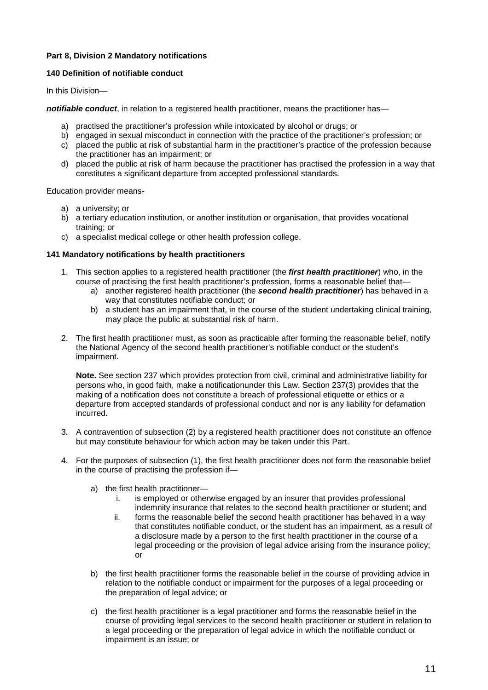## **Part 8, Division 2 Mandatory notifications**

#### **140 Definition of notifiable conduct**

In this Division—

*notifiable conduct*, in relation to a registered health practitioner, means the practitioner has—

- a) practised the practitioner's profession while intoxicated by alcohol or drugs; or
- b) engaged in sexual misconduct in connection with the practice of the practitioner's profession; or
- c) placed the public at risk of substantial harm in the practitioner's practice of the profession because the practitioner has an impairment; or
- d) placed the public at risk of harm because the practitioner has practised the profession in a way that constitutes a significant departure from accepted professional standards.

Education provider means-

- a) a university; or
- b) a tertiary education institution, or another institution or organisation, that provides vocational training; or
- c) a specialist medical college or other health profession college.

#### **141 Mandatory notifications by health practitioners**

- 1. This section applies to a registered health practitioner (the *first health practitioner*) who, in the course of practising the first health practitioner's profession, forms a reasonable belief that
	- a) another registered health practitioner (the *second health practitioner*) has behaved in a way that constitutes notifiable conduct; or
	- b) a student has an impairment that, in the course of the student undertaking clinical training, may place the public at substantial risk of harm.
- 2. The first health practitioner must, as soon as practicable after forming the reasonable belief, notify the National Agency of the second health practitioner's notifiable conduct or the student's impairment.

**Note.** See section 237 which provides protection from civil, criminal and administrative liability for persons who, in good faith, make a notificationunder this Law. Section 237(3) provides that the making of a notification does not constitute a breach of professional etiquette or ethics or a departure from accepted standards of professional conduct and nor is any liability for defamation incurred.

- 3. A contravention of subsection (2) by a registered health practitioner does not constitute an offence but may constitute behaviour for which action may be taken under this Part.
- 4. For the purposes of subsection (1), the first health practitioner does not form the reasonable belief in the course of practising the profession if
	- a) the first health practitioner
		- i. is employed or otherwise engaged by an insurer that provides professional indemnity insurance that relates to the second health practitioner or student; and
		- ii. forms the reasonable belief the second health practitioner has behaved in a way that constitutes notifiable conduct, or the student has an impairment, as a result of a disclosure made by a person to the first health practitioner in the course of a legal proceeding or the provision of legal advice arising from the insurance policy; or
	- b) the first health practitioner forms the reasonable belief in the course of providing advice in relation to the notifiable conduct or impairment for the purposes of a legal proceeding or the preparation of legal advice; or
	- c) the first health practitioner is a legal practitioner and forms the reasonable belief in the course of providing legal services to the second health practitioner or student in relation to a legal proceeding or the preparation of legal advice in which the notifiable conduct or impairment is an issue; or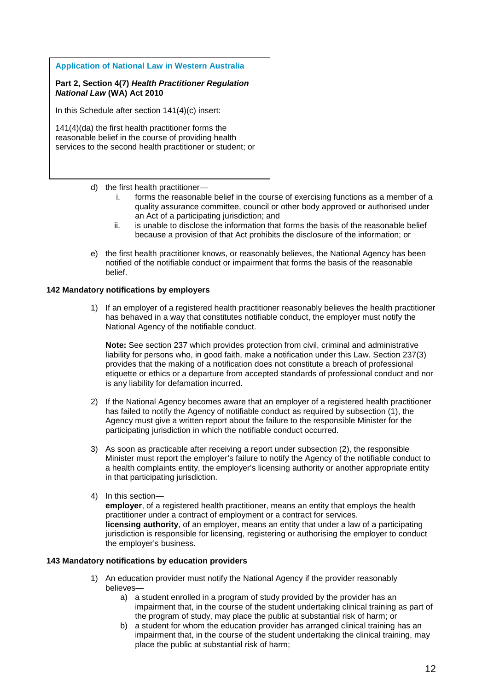**Application of National Law in Western Australia**

**Part 2, Section 4(7)** *Health Practitioner Regulation National Law* **(WA) Act 2010** 

In this Schedule after section 141(4)(c) insert:

141(4)(da) the first health practitioner forms the reasonable belief in the course of providing health services to the second health practitioner or student; or

#### d) the first health practitioner—

- i. forms the reasonable belief in the course of exercising functions as a member of a quality assurance committee, council or other body approved or authorised under an Act of a participating jurisdiction; and
- ii. is unable to disclose the information that forms the basis of the reasonable belief because a provision of that Act prohibits the disclosure of the information; or
- e) the first health practitioner knows, or reasonably believes, the National Agency has been notified of the notifiable conduct or impairment that forms the basis of the reasonable belief.

#### **142 Mandatory notifications by employers**

1) If an employer of a registered health practitioner reasonably believes the health practitioner has behaved in a way that constitutes notifiable conduct, the employer must notify the National Agency of the notifiable conduct.

**Note:** See section 237 which provides protection from civil, criminal and administrative liability for persons who, in good faith, make a notification under this Law. Section 237(3) provides that the making of a notification does not constitute a breach of professional etiquette or ethics or a departure from accepted standards of professional conduct and nor is any liability for defamation incurred.

- 2) If the National Agency becomes aware that an employer of a registered health practitioner has failed to notify the Agency of notifiable conduct as required by subsection (1), the Agency must give a written report about the failure to the responsible Minister for the participating jurisdiction in which the notifiable conduct occurred.
- 3) As soon as practicable after receiving a report under subsection (2), the responsible Minister must report the employer's failure to notify the Agency of the notifiable conduct to a health complaints entity, the employer's licensing authority or another appropriate entity in that participating jurisdiction.
- 4) In this section—

**employer**, of a registered health practitioner, means an entity that employs the health practitioner under a contract of employment or a contract for services. **licensing authority**, of an employer, means an entity that under a law of a participating jurisdiction is responsible for licensing, registering or authorising the employer to conduct the employer's business.

#### **143 Mandatory notifications by education providers**

- 1) An education provider must notify the National Agency if the provider reasonably believes
	- a) a student enrolled in a program of study provided by the provider has an impairment that, in the course of the student undertaking clinical training as part of the program of study, may place the public at substantial risk of harm; or
	- b) a student for whom the education provider has arranged clinical training has an impairment that, in the course of the student undertaking the clinical training, may place the public at substantial risk of harm;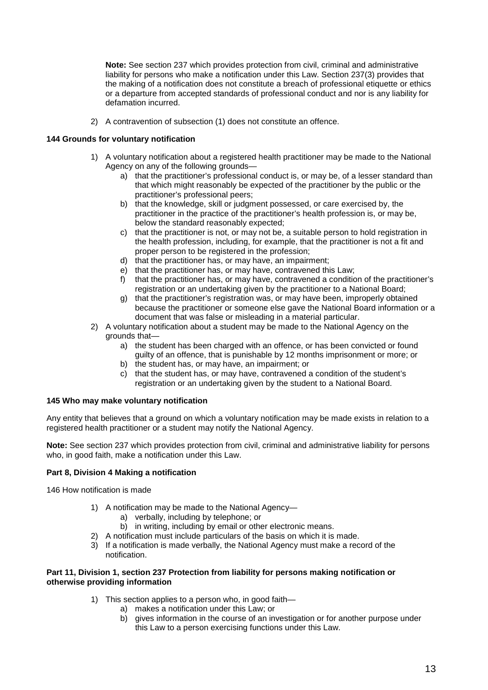**Note:** See section 237 which provides protection from civil, criminal and administrative liability for persons who make a notification under this Law. Section 237(3) provides that the making of a notification does not constitute a breach of professional etiquette or ethics or a departure from accepted standards of professional conduct and nor is any liability for defamation incurred.

2) A contravention of subsection (1) does not constitute an offence.

#### **144 Grounds for voluntary notification**

- 1) A voluntary notification about a registered health practitioner may be made to the National Agency on any of the following grounds
	- a) that the practitioner's professional conduct is, or may be, of a lesser standard than that which might reasonably be expected of the practitioner by the public or the practitioner's professional peers;
	- b) that the knowledge, skill or judgment possessed, or care exercised by, the practitioner in the practice of the practitioner's health profession is, or may be, below the standard reasonably expected;
	- c) that the practitioner is not, or may not be, a suitable person to hold registration in the health profession, including, for example, that the practitioner is not a fit and proper person to be registered in the profession;
	- d) that the practitioner has, or may have, an impairment;
	- e) that the practitioner has, or may have, contravened this Law;<br>f) that the practitioner has, or may have, contravened a condition
	- that the practitioner has, or may have, contravened a condition of the practitioner's registration or an undertaking given by the practitioner to a National Board;
	- g) that the practitioner's registration was, or may have been, improperly obtained because the practitioner or someone else gave the National Board information or a document that was false or misleading in a material particular.
- 2) A voluntary notification about a student may be made to the National Agency on the grounds that
	- a) the student has been charged with an offence, or has been convicted or found guilty of an offence, that is punishable by 12 months imprisonment or more; or
	- b) the student has, or may have, an impairment; or
	- c) that the student has, or may have, contravened a condition of the student's registration or an undertaking given by the student to a National Board.

### **145 Who may make voluntary notification**

Any entity that believes that a ground on which a voluntary notification may be made exists in relation to a registered health practitioner or a student may notify the National Agency.

**Note:** See section 237 which provides protection from civil, criminal and administrative liability for persons who, in good faith, make a notification under this Law.

#### **Part 8, Division 4 Making a notification**

146 How notification is made

- 1) A notification may be made to the National Agency
	- a) verbally, including by telephone; or
	- b) in writing, including by email or other electronic means.
- 2) A notification must include particulars of the basis on which it is made.
- 3) If a notification is made verbally, the National Agency must make a record of the notification.

#### **Part 11, Division 1, section 237 Protection from liability for persons making notification or otherwise providing information**

- 1) This section applies to a person who, in good faith
	- a) makes a notification under this Law; or
	- b) gives information in the course of an investigation or for another purpose under this Law to a person exercising functions under this Law.